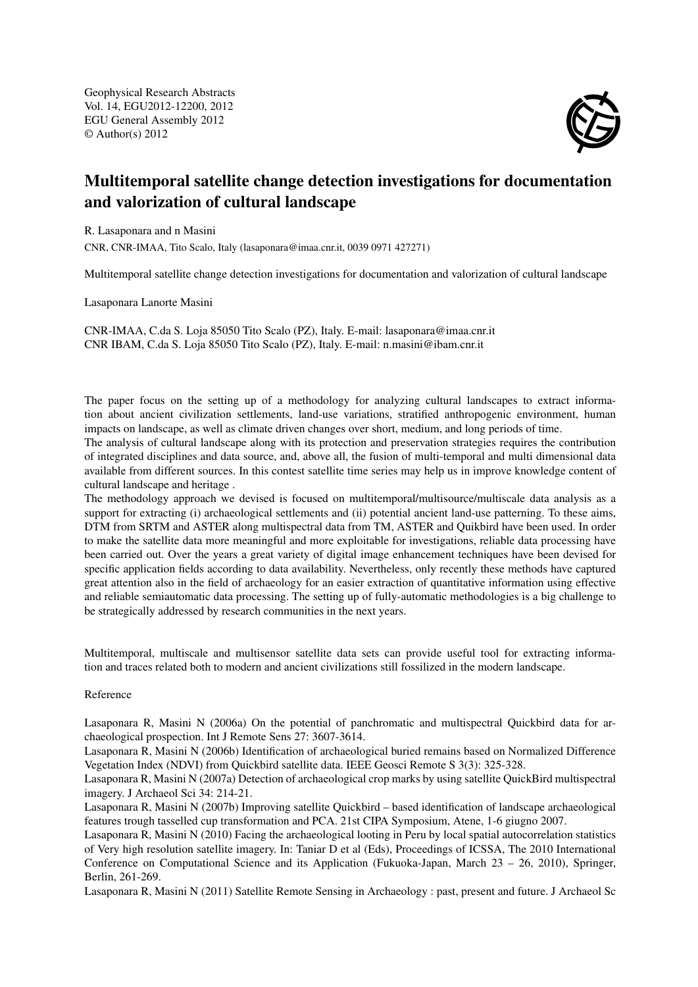Geophysical Research Abstracts Vol. 14, EGU2012-12200, 2012 EGU General Assembly 2012 © Author(s) 2012



## Multitemporal satellite change detection investigations for documentation and valorization of cultural landscape

R. Lasaponara and n Masini

CNR, CNR-IMAA, Tito Scalo, Italy (lasaponara@imaa.cnr.it, 0039 0971 427271)

Multitemporal satellite change detection investigations for documentation and valorization of cultural landscape

Lasaponara Lanorte Masini

CNR-IMAA, C.da S. Loja 85050 Tito Scalo (PZ), Italy. E-mail: lasaponara@imaa.cnr.it CNR IBAM, C.da S. Loja 85050 Tito Scalo (PZ), Italy. E-mail: n.masini@ibam.cnr.it

The paper focus on the setting up of a methodology for analyzing cultural landscapes to extract information about ancient civilization settlements, land-use variations, stratified anthropogenic environment, human impacts on landscape, as well as climate driven changes over short, medium, and long periods of time.

The analysis of cultural landscape along with its protection and preservation strategies requires the contribution of integrated disciplines and data source, and, above all, the fusion of multi-temporal and multi dimensional data available from different sources. In this contest satellite time series may help us in improve knowledge content of cultural landscape and heritage .

The methodology approach we devised is focused on multitemporal/multisource/multiscale data analysis as a support for extracting (i) archaeological settlements and (ii) potential ancient land-use patterning. To these aims, DTM from SRTM and ASTER along multispectral data from TM, ASTER and Quikbird have been used. In order to make the satellite data more meaningful and more exploitable for investigations, reliable data processing have been carried out. Over the years a great variety of digital image enhancement techniques have been devised for specific application fields according to data availability. Nevertheless, only recently these methods have captured great attention also in the field of archaeology for an easier extraction of quantitative information using effective and reliable semiautomatic data processing. The setting up of fully-automatic methodologies is a big challenge to be strategically addressed by research communities in the next years.

Multitemporal, multiscale and multisensor satellite data sets can provide useful tool for extracting information and traces related both to modern and ancient civilizations still fossilized in the modern landscape.

## Reference

Lasaponara R, Masini N (2006a) On the potential of panchromatic and multispectral Quickbird data for archaeological prospection. Int J Remote Sens 27: 3607-3614.

Lasaponara R, Masini N (2006b) Identification of archaeological buried remains based on Normalized Difference Vegetation Index (NDVI) from Quickbird satellite data. IEEE Geosci Remote S 3(3): 325-328.

Lasaponara R, Masini N (2007a) Detection of archaeological crop marks by using satellite QuickBird multispectral imagery. J Archaeol Sci 34: 214-21.

Lasaponara R, Masini N (2007b) Improving satellite Quickbird – based identification of landscape archaeological features trough tasselled cup transformation and PCA. 21st CIPA Symposium, Atene, 1-6 giugno 2007.

Lasaponara R, Masini N (2010) Facing the archaeological looting in Peru by local spatial autocorrelation statistics of Very high resolution satellite imagery. In: Taniar D et al (Eds), Proceedings of ICSSA, The 2010 International Conference on Computational Science and its Application (Fukuoka-Japan, March 23 – 26, 2010), Springer, Berlin, 261-269.

Lasaponara R, Masini N (2011) Satellite Remote Sensing in Archaeology : past, present and future. J Archaeol Sc